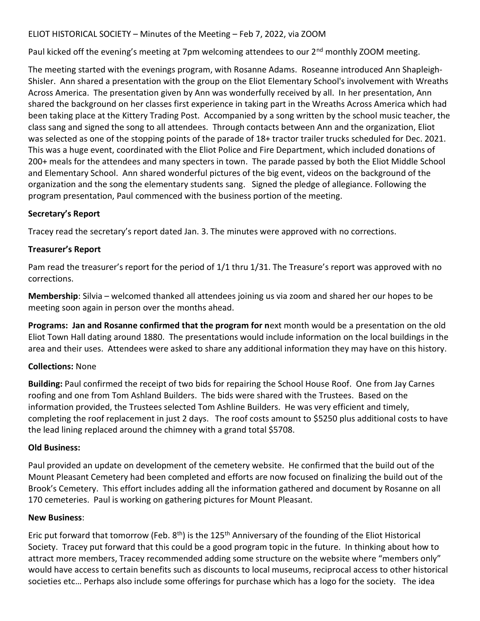## ELIOT HISTORICAL SOCIETY – Minutes of the Meeting – Feb 7, 2022, via ZOOM

Paul kicked off the evening's meeting at 7pm welcoming attendees to our 2<sup>nd</sup> monthly ZOOM meeting.

The meeting started with the evenings program, with Rosanne Adams. Roseanne introduced Ann Shapleigh-Shisler. Ann shared a presentation with the group on the Eliot Elementary School's involvement with Wreaths Across America. The presentation given by Ann was wonderfully received by all. In her presentation, Ann shared the background on her classes first experience in taking part in the Wreaths Across America which had been taking place at the Kittery Trading Post. Accompanied by a song written by the school music teacher, the class sang and signed the song to all attendees. Through contacts between Ann and the organization, Eliot was selected as one of the stopping points of the parade of 18+ tractor trailer trucks scheduled for Dec. 2021. This was a huge event, coordinated with the Eliot Police and Fire Department, which included donations of 200+ meals for the attendees and many specters in town. The parade passed by both the Eliot Middle School and Elementary School. Ann shared wonderful pictures of the big event, videos on the background of the organization and the song the elementary students sang. Signed the pledge of allegiance. Following the program presentation, Paul commenced with the business portion of the meeting.

### Secretary's Report

Tracey read the secretary's report dated Jan. 3. The minutes were approved with no corrections.

# Treasurer's Report

Pam read the treasurer's report for the period of 1/1 thru 1/31. The Treasure's report was approved with no corrections.

Membership: Silvia – welcomed thanked all attendees joining us via zoom and shared her our hopes to be meeting soon again in person over the months ahead.

Programs: Jan and Rosanne confirmed that the program for next month would be a presentation on the old Eliot Town Hall dating around 1880. The presentations would include information on the local buildings in the area and their uses. Attendees were asked to share any additional information they may have on this history.

### Collections: None

Building: Paul confirmed the receipt of two bids for repairing the School House Roof. One from Jay Carnes roofing and one from Tom Ashland Builders. The bids were shared with the Trustees. Based on the information provided, the Trustees selected Tom Ashline Builders. He was very efficient and timely, completing the roof replacement in just 2 days. The roof costs amount to \$5250 plus additional costs to have the lead lining replaced around the chimney with a grand total \$5708.

### Old Business:

Paul provided an update on development of the cemetery website. He confirmed that the build out of the Mount Pleasant Cemetery had been completed and efforts are now focused on finalizing the build out of the Brook's Cemetery. This effort includes adding all the information gathered and document by Rosanne on all 170 cemeteries. Paul is working on gathering pictures for Mount Pleasant.

### New Business:

Eric put forward that tomorrow (Feb. 8<sup>th</sup>) is the 125<sup>th</sup> Anniversary of the founding of the Eliot Historical Society. Tracey put forward that this could be a good program topic in the future. In thinking about how to attract more members, Tracey recommended adding some structure on the website where "members only" would have access to certain benefits such as discounts to local museums, reciprocal access to other historical societies etc… Perhaps also include some offerings for purchase which has a logo for the society. The idea